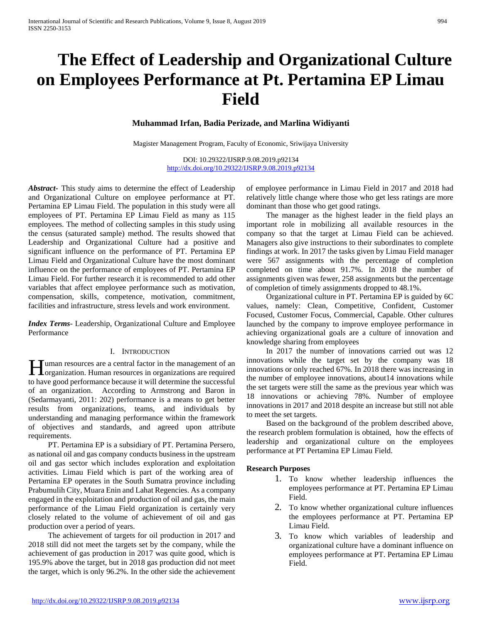# **The Effect of Leadership and Organizational Culture on Employees Performance at Pt. Pertamina EP Limau Field**

# **Muhammad Irfan, Badia Perizade, and Marlina Widiyanti**

Magister Management Program, Faculty of Economic, Sriwijaya University

DOI: 10.29322/IJSRP.9.08.2019.p92134 <http://dx.doi.org/10.29322/IJSRP.9.08.2019.p92134>

*Abstract***-** This study aims to determine the effect of Leadership and Organizational Culture on employee performance at PT. Pertamina EP Limau Field. The population in this study were all employees of PT. Pertamina EP Limau Field as many as 115 employees. The method of collecting samples in this study using the census (saturated sample) method. The results showed that Leadership and Organizational Culture had a positive and significant influence on the performance of PT. Pertamina EP Limau Field and Organizational Culture have the most dominant influence on the performance of employees of PT. Pertamina EP Limau Field. For further research it is recommended to add other variables that affect employee performance such as motivation, compensation, skills, competence, motivation, commitment, facilities and infrastructure, stress levels and work environment.

*Index Terms*- Leadership, Organizational Culture and Employee Performance

#### I. INTRODUCTION

uman resources are a central factor in the management of an **H**uman resources are a central factor in the management of an organization. Human resources in organizations are required to have good performance because it will determine the successful of an organization. According to Armstrong and Baron in (Sedarmayanti, 2011: 202) performance is a means to get better results from organizations, teams, and individuals by understanding and managing performance within the framework of objectives and standards, and agreed upon attribute requirements.

 PT. Pertamina EP is a subsidiary of PT. Pertamina Persero, as national oil and gas company conducts business in the upstream oil and gas sector which includes exploration and exploitation activities. Limau Field which is part of the working area of Pertamina EP operates in the South Sumatra province including Prabumulih City, Muara Enin and Lahat Regencies. As a company engaged in the exploitation and production of oil and gas, the main performance of the Limau Field organization is certainly very closely related to the volume of achievement of oil and gas production over a period of years.

 The achievement of targets for oil production in 2017 and 2018 still did not meet the targets set by the company, while the achievement of gas production in 2017 was quite good, which is 195.9% above the target, but in 2018 gas production did not meet the target, which is only 96.2%. In the other side the achievement of employee performance in Limau Field in 2017 and 2018 had relatively little change where those who get less ratings are more dominant than those who get good ratings.

 The manager as the highest leader in the field plays an important role in mobilizing all available resources in the company so that the target at Limau Field can be achieved. Managers also give instructions to their subordinates to complete findings at work. In 2017 the tasks given by Limau Field manager were 567 assignments with the percentage of completion completed on time about 91.7%. In 2018 the number of assignments given was fewer, 258 assignments but the percentage of completion of timely assignments dropped to 48.1%.

 Organizational culture in PT. Pertamina EP is guided by 6C values, namely: Clean, Competitive, Confident, Customer Focused, Customer Focus, Commercial, Capable. Other cultures launched by the company to improve employee performance in achieving organizational goals are a culture of innovation and knowledge sharing from employees

 In 2017 the number of innovations carried out was 12 innovations while the target set by the company was 18 innovations or only reached 67%. In 2018 there was increasing in the number of employee innovations, about14 innovations while the set targets were still the same as the previous year which was 18 innovations or achieving 78%. Number of employee innovations in 2017 and 2018 despite an increase but still not able to meet the set targets.

 Based on the background of the problem described above, the research problem formulation is obtained, how the effects of leadership and organizational culture on the employees performance at PT Pertamina EP Limau Field.

#### **Research Purposes**

- 1. To know whether leadership influences the employees performance at PT. Pertamina EP Limau Field.
- 2. To know whether organizational culture influences the employees performance at PT. Pertamina EP Limau Field.
- 3. To know which variables of leadership and organizational culture have a dominant influence on employees performance at PT. Pertamina EP Limau Field.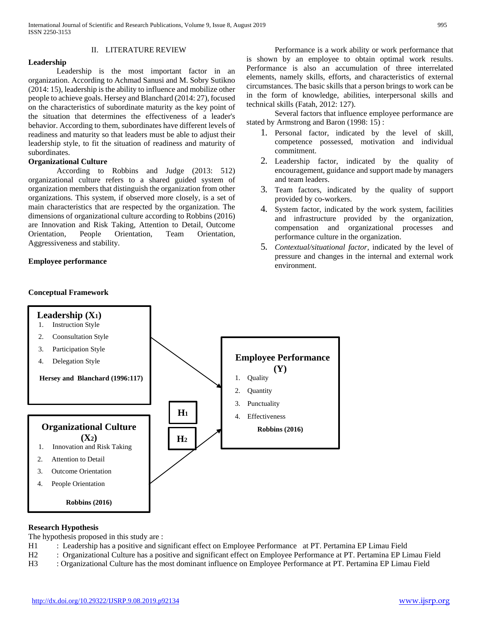## II. LITERATURE REVIEW

## **Leadership**

Leadership is the most important factor in an organization. According to Achmad Sanusi and M. Sobry Sutikno (2014: 15), leadership is the ability to influence and mobilize other people to achieve goals. Hersey and Blanchard (2014: 27), focused on the characteristics of subordinate maturity as the key point of the situation that determines the effectiveness of a leader's behavior. According to them, subordinates have different levels of readiness and maturity so that leaders must be able to adjust their leadership style, to fit the situation of readiness and maturity of subordinates.

## **Organizational Culture**

According to Robbins and Judge (2013: 512) organizational culture refers to a shared guided system of organization members that distinguish the organization from other organizations. This system, if observed more closely, is a set of main characteristics that are respected by the organization. The dimensions of organizational culture according to Robbins (2016) are Innovation and Risk Taking, Attention to Detail, Outcome Orientation, People Orientation, Team Orientation, Aggressiveness and stability.

#### **Employee performance**

## **Conceptual Framework**

Performance is a work ability or work performance that is shown by an employee to obtain optimal work results. Performance is also an accumulation of three interrelated elements, namely skills, efforts, and characteristics of external circumstances. The basic skills that a person brings to work can be in the form of knowledge, abilities, interpersonal skills and technical skills (Fatah, 2012: 127).

Several factors that influence employee performance are stated by Armstrong and Baron (1998: 15) :

- 1. Personal factor, indicated by the level of skill, competence possessed, motivation and individual commitment.
- 2. Leadership factor, indicated by the quality of encouragement, guidance and support made by managers and team leaders.
- 3. Team factors, indicated by the quality of support provided by co-workers.
- 4. System factor, indicated by the work system, facilities and infrastructure provided by the organization, compensation and organizational processes and performance culture in the organization.
- 5. *Contextual/situational factor,* indicated by the level of pressure and changes in the internal and external work environment.



#### **Research Hypothesis**

The hypothesis proposed in this study are :

- H1 : Leadership has a positive and significant effect on Employee Performance at PT. Pertamina EP Limau Field
- H2 : Organizational Culture has a positive and significant effect on Employee Performance at PT. Pertamina EP Limau Field
- H3 : Organizational Culture has the most dominant influence on Employee Performance at PT. Pertamina EP Limau Field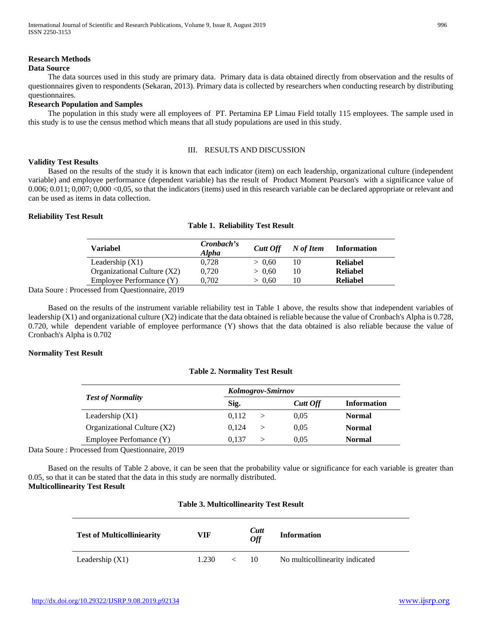### **Research Methods**

#### **Data Source**

 The data sources used in this study are primary data. Primary data is data obtained directly from observation and the results of questionnaires given to respondents (Sekaran, 2013). Primary data is collected by researchers when conducting research by distributing questionnaires.

## **Research Population and Samples**

 The population in this study were all employees of PT. Pertamina EP Limau Field totally 115 employees. The sample used in this study is to use the census method which means that all study populations are used in this study.

#### III. RESULTS AND DISCUSSION

#### **Validity Test Results**

 Based on the results of the study it is known that each indicator (item) on each leadership, organizational culture (independent variable) and employee performance (dependent variable) has the result of Product Moment Pearson's with a significance value of 0.006; 0.011; 0,007; 0,000 <0,05, so that the indicators (items) used in this research variable can be declared appropriate or relevant and can be used as items in data collection.

#### **Reliability Test Result**

#### **Table 1. Reliability Test Result**

| Variabel                    | Cronbach's<br><b>Alpha</b> | <b>Cutt Off</b> | N of Item | <b>Information</b> |
|-----------------------------|----------------------------|-----------------|-----------|--------------------|
| Leadership $(X1)$           | 0.728                      | > 0.60          | 10        | Reliabel           |
| Organizational Culture (X2) | 0.720                      | > 0.60          | 10        | Reliabel           |
| Employee Performance (Y)    | 0.702                      | > 0.60          | 10        | <b>Reliabel</b>    |
| $\sim 10.00$ $\sim 2.1$     |                            |                 |           |                    |

Data Soure : Processed from Questionnaire, 2019

 Based on the results of the instrument variable reliability test in Table 1 above, the results show that independent variables of leadership (X1) and organizational culture (X2) indicate that the data obtained is reliable because the value of Cronbach's Alpha is 0.728, 0.720, while dependent variable of employee performance (Y) shows that the data obtained is also reliable because the value of Cronbach's Alpha is 0.702

#### **Normality Test Result**

#### **Table 2. Normality Test Result**

|                             | Kolmogrov-Smirnov |          |                    |  |  |  |  |
|-----------------------------|-------------------|----------|--------------------|--|--|--|--|
| <b>Test of Normality</b>    | Sig.              | Cutt Off | <b>Information</b> |  |  |  |  |
| Leadership $(X1)$           | 0.112             | 0.05     | <b>Normal</b>      |  |  |  |  |
| Organizational Culture (X2) | 0.124             | 0.05     | <b>Normal</b>      |  |  |  |  |
| Employee Perfomance (Y)     | 0.137             | 0.05     | Normal             |  |  |  |  |

Data Soure : Processed from Questionnaire, 2019

 Based on the results of Table 2 above, it can be seen that the probability value or significance for each variable is greater than 0.05, so that it can be stated that the data in this study are normally distributed.

# **Multicollinearity Test Result**

| <b>Table 3. Multicollinearity Test Result</b> |  |
|-----------------------------------------------|--|
|-----------------------------------------------|--|

| <b>Test of Multicolliniearity</b> | VIF   | Cutt<br><b>Off</b> | <b>Information</b>             |
|-----------------------------------|-------|--------------------|--------------------------------|
| Leadership $(X1)$                 | 1.230 | 10                 | No multicollinearity indicated |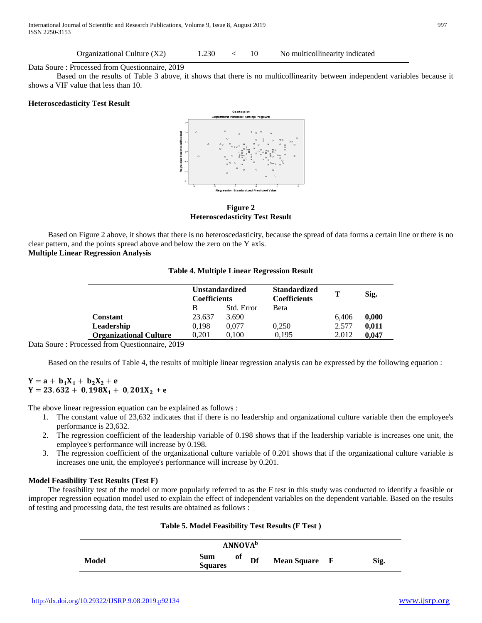Organizational Culture (X2) 1.230 < 10 No multicollinearity indicated

Data Soure : Processed from Questionnaire, 2019

Based on the results of Table 3 above, it shows that there is no multicollinearity between independent variables because it shows a VIF value that less than 10.

#### **Heteroscedasticity Test Result**



**Figure 2 Heteroscedasticity Test Result**

 Based on Figure 2 above, it shows that there is no heteroscedasticity, because the spread of data forms a certain line or there is no clear pattern, and the points spread above and below the zero on the Y axis. **Multiple Linear Regression Analysis**

#### **Table 4. Multiple Linear Regression Result**

|                               | <b>Unstandardized</b><br><b>Coefficients</b> |            | <b>Standardized</b><br><b>Coefficients</b> | т     | Sig.  |
|-------------------------------|----------------------------------------------|------------|--------------------------------------------|-------|-------|
|                               | В                                            | Std. Error | <b>Beta</b>                                |       |       |
| <b>Constant</b>               | 23.637                                       | 3.690      |                                            | 6.406 | 0,000 |
| Leadership                    | 0.198                                        | 0.077      | 0,250                                      | 2.577 | 0.011 |
| <b>Organizational Culture</b> | 0.201                                        | 0.100      | 0.195                                      | 2.012 | 0.047 |

Data Soure : Processed from Questionnaire, 2019

Based on the results of Table 4, the results of multiple linear regression analysis can be expressed by the following equation :

# $Y = a + b_1 X_1 + b_2 X_2 + e$  $Y = 23.632 + 0.198X_1 + 0.201X_2 + e$

The above linear regression equation can be explained as follows :

- 1. The constant value of 23,632 indicates that if there is no leadership and organizational culture variable then the employee's performance is 23,632.
- 2. The regression coefficient of the leadership variable of 0.198 shows that if the leadership variable is increases one unit, the employee's performance will increase by 0.198.
- 3. The regression coefficient of the organizational culture variable of 0.201 shows that if the organizational culture variable is increases one unit, the employee's performance will increase by 0.201.

# **Model Feasibility Test Results (Test F)**

 The feasibility test of the model or more popularly referred to as the F test in this study was conducted to identify a feasible or improper regression equation model used to explain the effect of independent variables on the dependent variable. Based on the results of testing and processing data, the test results are obtained as follows :

|       |                       | <b>ANNOVA</b> <sup>b</sup> |               |      |
|-------|-----------------------|----------------------------|---------------|------|
| Model | Sum<br><b>Squares</b> | оf<br>Df                   | Mean Square F | Sig. |

#### **Table 5. Model Feasibility Test Results (F Test )**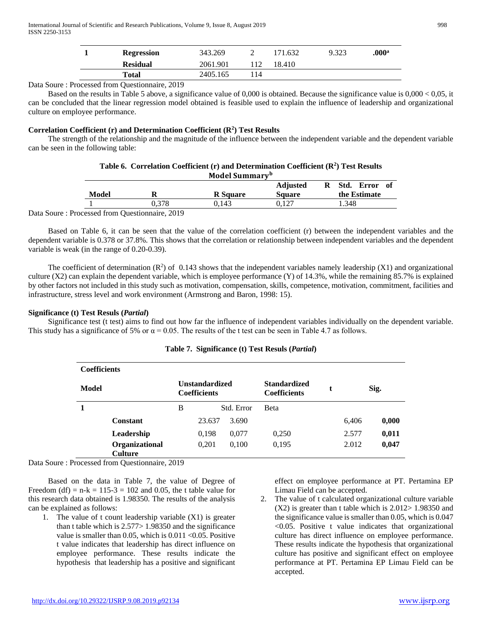| <b>Regression</b> | 343.269  |     | 171.632 | 9.323 | .000 <sup>a</sup> |
|-------------------|----------|-----|---------|-------|-------------------|
| <b>Residual</b>   | 2061.901 |     | 18.410  |       |                   |
| Total             | 2405.165 | -14 |         |       |                   |

Data Soure : Processed from Questionnaire, 2019

 Based on the results in Table 5 above, a significance value of 0,000 is obtained. Because the significance value is 0,000 < 0,05, it can be concluded that the linear regression model obtained is feasible used to explain the influence of leadership and organizational culture on employee performance.

# Correlation Coefficient (r) and Determination Coefficient (R<sup>2</sup>) Test Results

 The strength of the relationship and the magnitude of the influence between the independent variable and the dependent variable can be seen in the following table:

| Table 6. Correlation Coefficient (r) and Determination Coefficient $(R^2)$ Test Results |  |  |  |  |  |  |  |
|-----------------------------------------------------------------------------------------|--|--|--|--|--|--|--|
| Model Summary <sup>b</sup>                                                              |  |  |  |  |  |  |  |

|        | $1 - 10$ aver b annihan               |                 |                 |  |       |              |      |  |  |  |
|--------|---------------------------------------|-----------------|-----------------|--|-------|--------------|------|--|--|--|
|        |                                       |                 | <b>Adjusted</b> |  | Std.  | <b>Error</b> | - of |  |  |  |
| Model  | n                                     | <b>R</b> Square | <b>Square</b>   |  |       | the Estimate |      |  |  |  |
|        | ).378                                 | 0.143           | 0.127           |  | 1.348 |              |      |  |  |  |
| $\sim$ | $\sim$ $\sim$ $\sim$<br>$\sim$ $\sim$ |                 |                 |  |       |              |      |  |  |  |

Data Soure : Processed from Questionnaire, 2019

 Based on Table 6, it can be seen that the value of the correlation coefficient (r) between the independent variables and the dependent variable is 0.378 or 37.8%. This shows that the correlation or relationship between independent variables and the dependent variable is weak (in the range of 0.20-0.39).

The coefficient of determination  $(R^2)$  of 0.143 shows that the independent variables namely leadership  $(X1)$  and organizational culture  $(X2)$  can explain the dependent variable, which is employee performance  $(Y)$  of 14.3%, while the remaining 85.7% is explained by other factors not included in this study such as motivation, compensation, skills, competence, motivation, commitment, facilities and infrastructure, stress level and work environment (Armstrong and Baron, 1998: 15).

# **Significance (t) Test Resuls (***Partial***)**

 Significance test (t test) aims to find out how far the influence of independent variables individually on the dependent variable. This study has a significance of 5% or  $\alpha = 0.05$ . The results of the t test can be seen in Table 4.7 as follows.

| <b>Coefficients</b> |                                  |   |                                              |            |                                            |                      |       |       |
|---------------------|----------------------------------|---|----------------------------------------------|------------|--------------------------------------------|----------------------|-------|-------|
| Model               |                                  |   | <b>Unstandardized</b><br><b>Coefficients</b> |            | <b>Standardized</b><br><b>Coefficients</b> | $\ddot{\phantom{1}}$ |       | Sig.  |
|                     |                                  | B |                                              | Std. Error | <b>B</b> eta                               |                      |       |       |
|                     | <b>Constant</b>                  |   | 23.637                                       | 3.690      |                                            |                      | 6,406 | 0,000 |
|                     | Leadership                       |   | 0,198                                        | 0,077      | 0.250                                      |                      | 2.577 | 0,011 |
|                     | Organizational<br><b>Culture</b> |   | 0,201                                        | 0.100      | 0,195                                      |                      | 2.012 | 0,047 |

# **Table 7. Significance (t) Test Resuls (***Partial***)**

Data Soure : Processed from Questionnaire, 2019

 Based on the data in Table 7, the value of Degree of Freedom (df) =  $n-k = 115-3 = 102$  and 0.05, the t table value for this research data obtained is 1.98350. The results of the analysis can be explained as follows:

1. The value of t count leadership variable (X1) is greater than t table which is 2.577> 1.98350 and the significance value is smaller than 0.05, which is 0.011 <0.05. Positive t value indicates that leadership has direct influence on employee performance. These results indicate the hypothesis that leadership has a positive and significant

effect on employee performance at PT. Pertamina EP Limau Field can be accepted.

2. The value of t calculated organizational culture variable (X2) is greater than t table which is 2.012> 1.98350 and the significance value is smaller than 0.05, which is 0.047 <0.05. Positive t value indicates that organizational culture has direct influence on employee performance. These results indicate the hypothesis that organizational culture has positive and significant effect on employee performance at PT. Pertamina EP Limau Field can be accepted.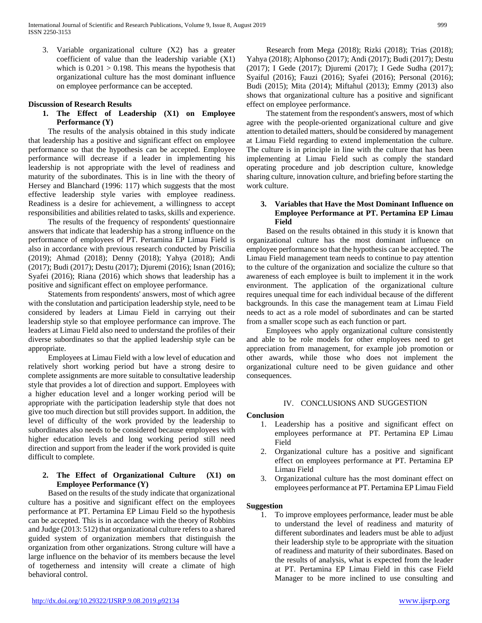3. Variable organizational culture (X2) has a greater coefficient of value than the leadership variable (X1) which is  $0.201 > 0.198$ . This means the hypothesis that organizational culture has the most dominant influence on employee performance can be accepted.

#### **Discussion of Research Results**

# **1. The Effect of Leadership (X1) on Employee Performance (Y)**

 The results of the analysis obtained in this study indicate that leadership has a positive and significant effect on employee performance so that the hypothesis can be accepted. Employee performance will decrease if a leader in implementing his leadership is not appropriate with the level of readiness and maturity of the subordinates. This is in line with the theory of Hersey and Blanchard (1996: 117) which suggests that the most effective leadership style varies with employee readiness. Readiness is a desire for achievement, a willingness to accept responsibilities and abilities related to tasks, skills and experience.

 The results of the frequency of respondents' questionnaire answers that indicate that leadership has a strong influence on the performance of employees of PT. Pertamina EP Limau Field is also in accordance with previous research conducted by Priscilia (2019); Ahmad (2018); Denny (2018); Yahya (2018); Andi (2017); Budi (2017); Destu (2017); Djuremi (2016); Isnan (2016); Syafei (2016); Riana (2016) which shows that leadership has a positive and significant effect on employee performance.

 Statements from respondents' answers, most of which agree with the conslutation and participation leadership style, need to be considered by leaders at Limau Field in carrying out their leadership style so that employee performance can improve. The leaders at Limau Field also need to understand the profiles of their diverse subordinates so that the applied leadership style can be appropriate.

 Employees at Limau Field with a low level of education and relatively short working period but have a strong desire to complete assignments are more suitable to consultative leadership style that provides a lot of direction and support. Employees with a higher education level and a longer working period will be appropriate with the participation leadership style that does not give too much direction but still provides support. In addition, the level of difficulty of the work provided by the leadership to subordinates also needs to be considered because employees with higher education levels and long working period still need direction and support from the leader if the work provided is quite difficult to complete.

# **2. The Effect of Organizational Culture (X1) on Employee Performance (Y)**

 Based on the results of the study indicate that organizational culture has a positive and significant effect on the employees performance at PT. Pertamina EP Limau Field so the hypothesis can be accepted. This is in accordance with the theory of Robbins and Judge (2013: 512) that organizational culture refers to a shared guided system of organization members that distinguish the organization from other organizations. Strong culture will have a large influence on the behavior of its members because the level of togetherness and intensity will create a climate of high behavioral control.

 Research from Mega (2018); Rizki (2018); Trias (2018); Yahya (2018); Alphonso (2017); Andi (2017); Budi (2017); Destu (2017); I Gede (2017); Djuremi (2017); I Gede Sudha (2017); Syaiful (2016); Fauzi (2016); Syafei (2016); Personal (2016); Budi (2015); Mita (2014); Miftahul (2013); Emmy (2013) also shows that organizational culture has a positive and significant effect on employee performance.

 The statement from the respondent's answers, most of which agree with the people-oriented organizational culture and give attention to detailed matters, should be considered by management at Limau Field regarding to extend implementation the culture. The culture is in principle in line with the culture that has been implementing at Limau Field such as comply the standard operating procedure and job description culture, knowledge sharing culture, innovation culture, and briefing before starting the work culture.

## **3. Variables that Have the Most Dominant Influence on Employee Performance at PT. Pertamina EP Limau Field**

 Based on the results obtained in this study it is known that organizational culture has the most dominant influence on employee performance so that the hypothesis can be accepted. The Limau Field management team needs to continue to pay attention to the culture of the organization and socialize the culture so that awareness of each employee is built to implement it in the work environment. The application of the organizational culture requires unequal time for each individual because of the different backgrounds. In this case the management team at Limau Field needs to act as a role model of subordinates and can be started from a smaller scope such as each function or part.

 Employees who apply organizational culture consistently and able to be role models for other employees need to get appreciation from management, for example job promotion or other awards, while those who does not implement the organizational culture need to be given guidance and other consequences.

# IV. CONCLUSIONS AND SUGGESTION

# **Conclusion**

- 1. Leadership has a positive and significant effect on employees performance at PT. Pertamina EP Limau Field
- 2. Organizational culture has a positive and significant effect on employees performance at PT. Pertamina EP Limau Field
- 3. Organizational culture has the most dominant effect on employees performance at PT. Pertamina EP Limau Field

#### **Suggestion**

1. To improve employees performance, leader must be able to understand the level of readiness and maturity of different subordinates and leaders must be able to adjust their leadership style to be appropriate with the situation of readiness and maturity of their subordinates. Based on the results of analysis, what is expected from the leader at PT. Pertamina EP Limau Field in this case Field Manager to be more inclined to use consulting and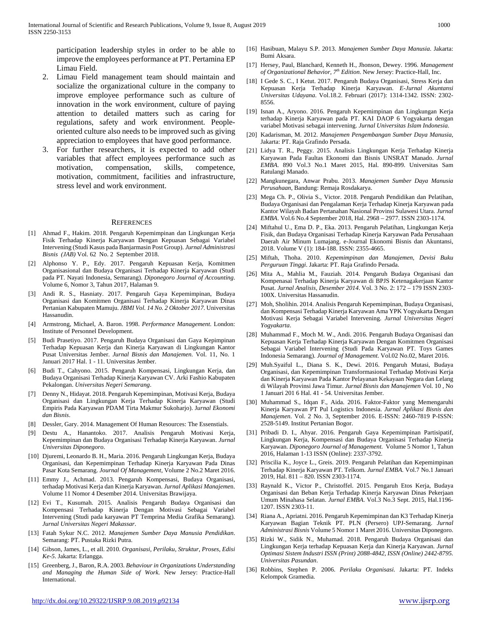participation leadership styles in order to be able to improve the employees performance at PT. Pertamina EP Limau Field.

- 2. Limau Field management team should maintain and socialize the organizational culture in the company to improve employee performance such as culture of innovation in the work environment, culture of paying attention to detailed matters such as caring for regulations, safety and work environment. Peopleoriented culture also needs to be improved such as giving appreciation to employees that have good performance.
- 3. For further researchers, it is expected to add other variables that affect employees performance such as motivation, compensation, skills, competence, motivation, commitment, facilities and infrastructure, stress level and work environment.

#### **REFERENCES**

- [1] Ahmad F., Hakim. 2018. Pengaruh Kepemimpinan dan Lingkungan Kerja Fisik Terhadap Kinerja Karyawan Dengan Kepuasan Sebagai Variabel Intervening (Studi Kasus pada Banjarmasin Post Group). *Jurnal Administrasi Bisnis (JAB)* Vol. 62 No. 2 September 2018.
- [2] Alphonso Y. P., Edy. 2017. Pengaruh Kepuasan Kerja, Komitmen Organisasional dan Budaya Organisasi Terhadap Kinerja Karyawan (Studi pada PT. Nayati Indonesia, Semarang). *Diponegoro Journal of Accounting*. Volume 6, Nomor 3, Tahun 2017, Halaman 9.
- [3] Andi R. S., Hasniaty. 2017. Pengaruh Gaya Kepemimpinan, Budaya Organisasi dan Komitmen Organisasi Terhadap Kinerja Karyawan Dinas Pertanian Kabupaten Mamuju. *JBMI Vol. 14 No. 2 Oktober 2017.* Universitas Hassanudin.
- [4] Armstrong, Michael, A. Baron. 1998. *Performance Management*. London: Institute of Personnel Development.
- [5] Budi Prasetiyo. 2017. Pengaruh Budaya Organisasi dan Gaya Kepimpinan Terhadap Kepuasan Kerja dan Kinerja Karyawan di Lingkungan Kantor Pusat Universitas Jember. *Jurnal Bisnis dan Manajemen.* Vol. 11, No. 1 Januari 2017 Hal. 1 - 11. Universitas Jember.
- [6] Budi T., Cahyono. 2015. Pengaruh Kompensasi, Lingkungan Kerja, dan Budaya Organisasi Terhadap Kinerja Karyawan CV. Arki Fashio Kabupaten Pekalongan. *Universitas Negeri Semarang*.
- [7] Denny N., Hidayat. 2018. Pengaruh Kepemimpinan, Motivasi Kerja, Budaya Organisasi dan Lingkungan Kerja Terhadap Kinerja Karyawan (Studi Empiris Pada Karyawan PDAM Tirta Makmur Sukoharjo). J*urnal Ekonomi dan Bisnis*.
- [8] Dessler, Gary. 2014. Management Of Human Resources: The Essenstials.
- [9] Destu A., Hanantoko. 2017. Analisis Pengaruh Motivasi Kerja, Kepemimpinan dan Budaya Organisasi Terhadap Kinerja Karyawan. *Jurnal Universitas Diponegoro*.
- [10] Djuremi, Leonardo B. H., Maria. 2016. Pengaruh Lingkungan Kerja, Budaya Organisasi, dan Kepemimpinan Terhadap Kinerja Karyawan Pada Dinas Pasar Kota Semarang. *Journal Of Management*, Volume 2 No.2 Maret 2016.
- [11] Emmy J., Achmad. 2013. Pengaruh Kompensasi, Budaya Organisasi, terhadap Motivasi Kerja dan Kinerja Karyawan. *Jurnal Aplikasi Manajeme*n. Volume 11 Nomor 4 Desember 2014. Universitas Brawijaya.
- [12] Evi T., Kusumah. 2015. Analisis Pengaruh Budaya Organisasi dan Kompensasi Terhadap Kinerja Dengan Motivasi Sebagai Variabel Intervening (Studi pada karyawan PT Temprina Media Grafika Semarang). *Jurnal Universitas Negeri Makassar*.
- [13] Fatah Sykur N.C. 2012. *Manajemen Sumber Daya Manusia Pendidikan*. Semarang: PT. Pustaka Rizki Putra.
- [14] Gibson, James, L., et all. 2010. *Organisasi, Perilaku, Struktur, Proses, Edisi Ke-5*. Jakarta: Erlangga.
- [15] Greenberg, J., Baron, R.A. 2003. *Behaviour in Organizations Understanding and Managing the Human Side of Work*. New Jersey: Practice-Hall International.
- [16] Hasibuan, Malayu S.P. 2013. *Manajemen Sumber Daya Manusia*. Jakarta: Bumi Aksara.
- [17] Hersey, Paul, Blanchard, Kenneth H., Jhonson, Dewey. 1996. *Management of Organizational Behavior, 7th Edition*. New Jersey: Practice-Hall, Inc.
- [18] I Gede S. C., I Ketut. 2017. Pengaruh Budaya Organisasi, Stress Kerja dan Kepuasan Kerja Terhadap Kinerja Karyawan. *E-Jurnal Akuntansi Universitas Udayana*. Vol.18.2. Februari (2017): 1314-1342. ISSN: 2302- 8556.
- [19] Isnan A., Aryono. 2016. Pengaruh Kepemimpinan dan Lingkungan Kerja terhadap Kinerja Karyawan pada PT. KAI DAOP 6 Yogyakarta dengan variabel Motivasi sebagai intervening. *Jurnal Universitas Islam Indonesia*.
- [20] Kadarisman, M. 2012. *Manajemen Pengembangan Sumber Daya Manusia*, Jakarta: PT. Raja Grafindo Persada.
- [21] Lidya T. R., Peggy. 2015. Analisis Lingkungan Kerja Terhadap Kinerja Karyawan Pada Faultas Ekonomi dan Bisnis UNSRAT Manado. *Jurnal EMBA*. 890 Vol.3 No.1 Maret 2015, Hal. 890-899. Universitas Sam Ratulangi Manado.
- [22] Mangkunegara, Anwar Prabu. 2013. *Manajemen Sumber Daya Manusia Perusahaan*, Bandung: Remaja Rosdakarya.
- [23] Mega Ch. P., Olivia S., Victor. 2018. Pengaruh Pendidikan dan Pelatihan, Budaya Organisasi dan Pengalaman Kerja Terhadap Kinerja Karyawan pada Kantor Wilayah Badan Pertanahan Nasional Provinsi Sulawesi Utara. *Jurnal EMBA*. Vol.6 No.4 September 2018, Hal. 2968 – 2977. ISSN 2303-1174.
- [24] Miftahul U., Ema D. P., Eka. 2013. Pengaruh Pelatihan, Lingkungan Kerja Fisik, dan Budaya Organisasi Terhadap Kinerja Karyawan Pada Perusahaan Daerah Air Minum Lumajang. e-Journal Ekonomi Bisnis dan Akuntansi, 2018. Volume V (1): 184-188. ISSN: 2355-4665.
- [25] Miftah, Thoha. 2010. *Kepemimpinan dan Manajemen, Devisi Buku Perguruan Tinggi*. Jakarta: PT. Raja Grafindo Persada.
- [26] Mita A., Mahlia M., Fauziah. 2014. Pengaruh Budaya Organisasi dan Kompenasai Terhadap Kinerja Karyawan di BPJS Ketenagakerjaan Kantor Pusat. *Jurnal Analisis, Desember 2014*. Vol. 3 No. 2: 172 – 179 ISSN 2303- 100X. Universitas Hassanudin.
- [27] Moh, Sholihin. 2014. Analisis Pengaruh Kepemimpinan, Budaya Organisasi, dan Kompensasi Terhadap Kinerja Karyawan Ama YPK Yogyakarta Dengan Motivasi Kerja Sebagai Variabel Intervening. *Jurnal Universitas Negeri Yogyakarta*.
- [28] Muhammad F., Moch M. W., Andi. 2016. Pengaruh Budaya Organisasi dan Kepuasan Kerja Terhadap Kinerja Karyawan Dengan Komitmen Organisasi Sebagai Variabel Intervening (Studi Pada Karyawan PT. Toys Games Indonesia Semarang). *Journal of Management*. Vol.02 No.02, Maret 2016.
- [29] Muh.Syaiful L., Diana S. K., Dewi. 2016. Pengaruh Mutasi, Budaya Organisasi, dan Kepemimpinan Transformasional Terhadap Motivasi Kerja dan Kinerja Karyawan Pada Kantor Pelayanan Kekayaan Negara dan Lelang di Wilayah Provinsi Jawa Timur. *Jurnal Bisnis dan Manajemen* Vol. 10 , No 1 Januari 201 6 Hal. 41 - 54. Universitas Jember.
- [30] Muhammad S., Idqan F., Aida. 2016. Faktor-Faktor yang Memengaruhi Kinerja Karyawan PT Pul Logistics Indonesia. *Jurnal Aplikasi Bisnis dan Manajemen*. Vol. 2 No. 3, September 2016. E-ISSN: 2460-7819 P-ISSN: 2528-5149. Institut Pertanian Bogor.
- [31] Pribadi D. I., Ahyar. 2016. Pengaruh Gaya Kepemimpinan Partisipatif, Lingkungan Kerja, Kompensasi dan Budaya Organisasi Terhadap Kinerja Karyawan. *Diponegoro Journal of Management.* Volume 5 Nomor 1, Tahun 2016, Halaman 1-13 ISSN (Online): 2337-3792.
- [32] Priscilia K., Joyce L., Greis. 2019. Pengaruh Pelatihan dan Kepemimpinan Terhadap Kinerja Karyawan PT. Telkom. *Jurnal EMBA*. Vol.7 No.1 Januari 2019, Hal. 811 – 820. ISSN 2303-1174.
- [33] Raynald K., Victor P., Christoffel. 2015. Pengaruh Etos Kerja, Budaya Organisasi dan Beban Kerja Terhadap Kinerja Karyawan Dinas Pekerjaan Umum Minahasa Selatan. *Jurnal EMBA*. Vol.3 No.3 Sept. 2015, Hal.1196- 1207. ISSN 2303-11.
- [34] Riana A., Apriatni. 2016. Pengaruh Kepemimpinan dan K3 Terhadap Kinerja Karyawan Bagian Teknik PT. PLN (Persero) UPJ-Semarang. *Jurnal Administrasi Bisnis* Volume 5 Nomor 1 Maret 2016. Universitas Diponegoro.
- [35] Rizki W., Sidik N., Muhamad. 2018. Pengaruh Budaya Organisasi dan Lingkungan Kerja terhadap Kepuasan Kerja dan Kinerja Karyawan. *Jurnal Optimasi Sistem Industri ISSN (Print) 2088-4842, ISSN (Online) 2442-8795. Universitas Pasundan*.
- [36] Robbins, Stephen P. 2006. *Perilaku Organisasi*. Jakarta: PT. Indeks Kelompok Gramedia.